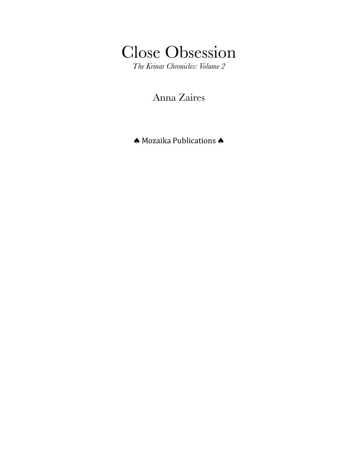

Anna Zaires

◆ Mozaika Publications ◆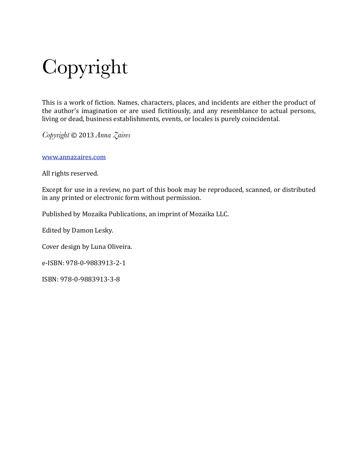# <span id="page-2-0"></span>Copyright

This is a work of fiction. Names, characters, places, and incidents are either the product of the author's imagination or are used fictitiously, and any resemblance to actual persons, living or dead, business establishments, events, or locales is purely coincidental.

*Copyright* © 2013 *Anna Zaires*

[www.annazaires.com](http://www.annazaires.com)

All rights reserved.

Except for use in a review, no part of this book may be reproduced, scanned, or distributed in any printed or electronic form without permission.

Published by Mozaika Publications, an imprint of Mozaika LLC.

Edited by Damon Lesky.

Cover design by Luna Oliveira.

e-ISBN: 978-0-9883913-2-1

ISBN: 978-0-9883913-3-8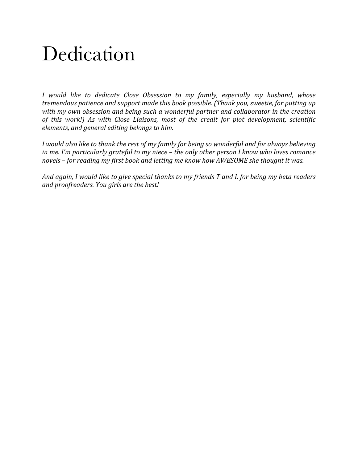## <span id="page-3-0"></span>Dedication

*I* would like to dedicate Close Obsession to my family, especially my husband, whose *tremendous patience and support made this book possible. (Thank you, sweetie, for putting up* with my own obsession and being such a wonderful partner and collaborator in the creation of this work!) As with Close Liaisons, most of the credit for plot development, scientific *elements, and general editing belongs to him.* 

*I* would also like to thank the rest of my family for being so wonderful and for always believing *in* me. I'm particularly grateful to my niece – the only other person I know who loves romance novels – for reading my first book and letting me know how AWESOME she thought it was.

And again, I would like to give special thanks to my friends T and L for being my beta readers *and proofreaders. You girls are the best!*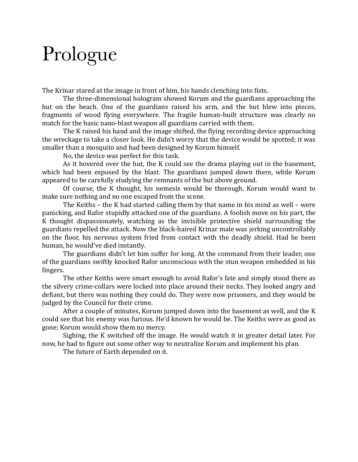#### <span id="page-4-0"></span>Prologue

The Krinar stared at the image in front of him, his hands clenching into fists.

The three-dimensional hologram showed Korum and the guardians approaching the hut on the beach. One of the guardians raised his arm, and the hut blew into pieces, fragments of wood flying everywhere. The fragile human-built structure was clearly no match for the basic nano-blast weapon all guardians carried with them.

The K raised his hand and the image shifted, the flying recording device approaching the wreckage to take a closer look. He didn't worry that the device would be spotted; it was smaller than a mosquito and had been designed by Korum himself.

No, the device was perfect for this task.

As it hovered over the hut, the K could see the drama playing out in the basement, which had been exposed by the blast. The guardians jumped down there, while Korum appeared to be carefully studying the remnants of the hut above ground.

Of course, the K thought, his nemesis would be thorough. Korum would want to make sure nothing and no one escaped from the scene.

The Keiths – the K had started calling them by that name in his mind as well – were panicking, and Rafor stupidly attacked one of the guardians. A foolish move on his part, the K thought dispassionately, watching as the invisible protective shield surrounding the guardians repelled the attack. Now the black-haired Krinar male was jerking uncontrollably on the floor, his nervous system fried from contact with the deadly shield. Had he been human, he would've died instantly.

The guardians didn't let him suffer for long. At the command from their leader, one of the guardians swiftly knocked Rafor unconscious with the stun weapon embedded in his fingers.

The other Keiths were smart enough to avoid Rafor's fate and simply stood there as the silvery crime-collars were locked into place around their necks. They looked angry and defiant, but there was nothing they could do. They were now prisoners, and they would be judged by the Council for their crime.

After a couple of minutes, Korum jumped down into the basement as well, and the K could see that his enemy was furious. He'd known he would be. The Keiths were as good as gone; Korum would show them no mercy.

Sighing, the K switched off the image. He would watch it in greater detail later. For now, he had to figure out some other way to neutralize Korum and implement his plan.

The future of Earth depended on it.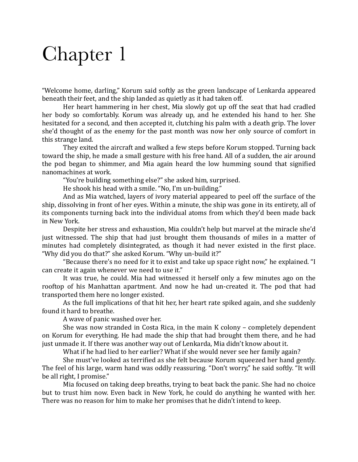## <span id="page-5-0"></span>Chapter 1

"Welcome home, darling," Korum said softly as the green landscape of Lenkarda appeared beneath their feet, and the ship landed as quietly as it had taken off.

Her heart hammering in her chest, Mia slowly got up off the seat that had cradled her body so comfortably. Korum was already up, and he extended his hand to her. She hesitated for a second, and then accepted it, clutching his palm with a death grip. The lover she'd thought of as the enemy for the past month was now her only source of comfort in this strange land.

They exited the aircraft and walked a few steps before Korum stopped. Turning back toward the ship, he made a small gesture with his free hand. All of a sudden, the air around the pod began to shimmer, and Mia again heard the low humming sound that signified nanomachines at work.

"You're building something else?" she asked him, surprised.

He shook his head with a smile. "No, I'm un-building."

And as Mia watched, layers of ivory material appeared to peel off the surface of the ship, dissolving in front of her eyes. Within a minute, the ship was gone in its entirety, all of its components turning back into the individual atoms from which they'd been made back in New York.

Despite her stress and exhaustion, Mia couldn't help but marvel at the miracle she'd just witnessed. The ship that had just brought them thousands of miles in a matter of minutes had completely disintegrated, as though it had never existed in the first place. "Why did you do that?" she asked Korum. "Why un-build it?"

"Because there's no need for it to exist and take up space right now," he explained. "I can create it again whenever we need to use it."

It was true, he could. Mia had witnessed it herself only a few minutes ago on the rooftop of his Manhattan apartment. And now he had un-created it. The pod that had transported them here no longer existed.

As the full implications of that hit her, her heart rate spiked again, and she suddenly found it hard to breathe.

A wave of panic washed over her.

She was now stranded in Costa Rica, in the main  $K$  colony – completely dependent on Korum for everything. He had made the ship that had brought them there, and he had just unmade it. If there was another way out of Lenkarda, Mia didn't know about it.

What if he had lied to her earlier? What if she would never see her family again?

She must've looked as terrified as she felt because Korum squeezed her hand gently. The feel of his large, warm hand was oddly reassuring. "Don't worry," he said softly. "It will be all right, I promise."

Mia focused on taking deep breaths, trying to beat back the panic. She had no choice but to trust him now. Even back in New York, he could do anything he wanted with her. There was no reason for him to make her promises that he didn't intend to keep.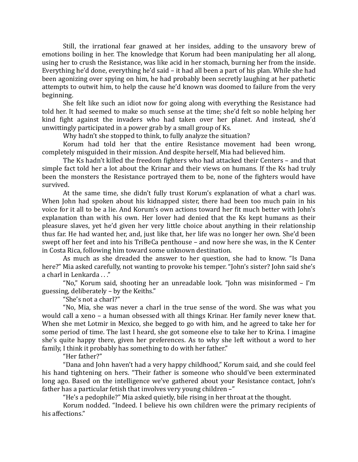Still, the irrational fear gnawed at her insides, adding to the unsavory brew of emotions boiling in her. The knowledge that Korum had been manipulating her all along, using her to crush the Resistance, was like acid in her stomach, burning her from the inside. Everything he'd done, everything he'd said – it had all been a part of his plan. While she had been agonizing over spying on him, he had probably been secretly laughing at her pathetic attempts to outwit him, to help the cause he'd known was doomed to failure from the very beginning.

She felt like such an idiot now for going along with everything the Resistance had told her. It had seemed to make so much sense at the time; she'd felt so noble helping her kind fight against the invaders who had taken over her planet. And instead, she'd unwittingly participated in a power grab by a small group of Ks.

Why hadn't she stopped to think, to fully analyze the situation?

Korum had told her that the entire Resistance movement had been wrong, completely misguided in their mission. And despite herself, Mia had believed him.

The Ks hadn't killed the freedom fighters who had attacked their Centers – and that simple fact told her a lot about the Krinar and their views on humans. If the Ks had truly been the monsters the Resistance portrayed them to be, none of the fighters would have survived.

At the same time, she didn't fully trust Korum's explanation of what a charl was. When John had spoken about his kidnapped sister, there had been too much pain in his voice for it all to be a lie. And Korum's own actions toward her fit much better with John's explanation than with his own. Her lover had denied that the Ks kept humans as their pleasure slaves, yet he'd given her very little choice about anything in their relationship thus far. He had wanted her, and, just like that, her life was no longer her own. She'd been swept off her feet and into his TriBeCa penthouse – and now here she was, in the K Center in Costa Rica, following him toward some unknown destination.

As much as she dreaded the answer to her question, she had to know. "Is Dana here?" Mia asked carefully, not wanting to provoke his temper. "John's sister? John said she's a charl in Lenkarda . . ."

"No," Korum said, shooting her an unreadable look. "John was misinformed – I'm guessing, deliberately  $-$  by the Keiths."

"She's not a charl?"

"No, Mia, she was never a charl in the true sense of the word. She was what you would call a xeno - a human obsessed with all things Krinar. Her family never knew that. When she met Lotmir in Mexico, she begged to go with him, and he agreed to take her for some period of time. The last I heard, she got someone else to take her to Krina. I imagine she's quite happy there, given her preferences. As to why she left without a word to her family, I think it probably has something to do with her father."

"Her father?"

"Dana and John haven't had a very happy childhood," Korum said, and she could feel his hand tightening on hers. "Their father is someone who should've been exterminated long ago. Based on the intelligence we've gathered about your Resistance contact, John's father has a particular fetish that involves very young children  $-$ "

"He's a pedophile?" Mia asked quietly, bile rising in her throat at the thought.

Korum nodded. "Indeed. I believe his own children were the primary recipients of his affections."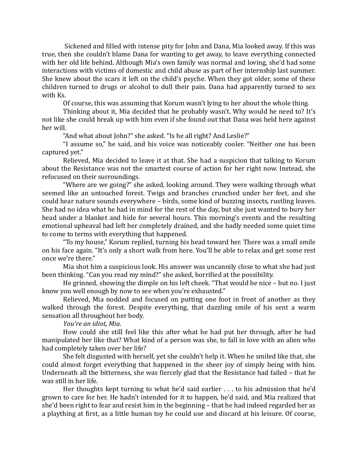Sickened and filled with intense pity for John and Dana, Mia looked away. If this was true, then she couldn't blame Dana for wanting to get away, to leave everything connected with her old life behind. Although Mia's own family was normal and loving, she'd had some interactions with victims of domestic and child abuse as part of her internship last summer. She knew about the scars it left on the child's psyche. When they got older, some of these children turned to drugs or alcohol to dull their pain. Dana had apparently turned to sex with Ks.

Of course, this was assuming that Korum wasn't lying to her about the whole thing.

Thinking about it, Mia decided that he probably wasn't. Why would he need to? It's not like she could break up with him even if she found out that Dana was held here against her will.

"And what about John?" she asked. "Is he all right? And Leslie?"

"I assume so," he said, and his voice was noticeably cooler. "Neither one has been captured vet."

Relieved, Mia decided to leave it at that. She had a suspicion that talking to Korum about the Resistance was not the smartest course of action for her right now. Instead, she refocused on their surroundings.

"Where are we going?" she asked, looking around. They were walking through what seemed like an untouched forest. Twigs and branches crunched under her feet, and she could hear nature sounds everywhere – birds, some kind of buzzing insects, rustling leaves. She had no idea what he had in mind for the rest of the day, but she just wanted to bury her head under a blanket and hide for several hours. This morning's events and the resulting emotional upheaval had left her completely drained, and she badly needed some quiet time to come to terms with everything that happened.

"To my house," Korum replied, turning his head toward her. There was a small smile on his face again. "It's only a short walk from here. You'll be able to relax and get some rest once we're there."

Mia shot him a suspicious look. His answer was uncannily close to what she had just been thinking. "Can you read my mind?" she asked, horrified at the possibility.

He grinned, showing the dimple on his left cheek. "That would be nice  $-$  but no. I just know you well enough by now to see when you're exhausted."

Relieved, Mia nodded and focused on putting one foot in front of another as they walked through the forest. Despite everything, that dazzling smile of his sent a warm sensation all throughout her body.

*You're an idiot, Mia*. 

How could she still feel like this after what he had put her through, after he had manipulated her like that? What kind of a person was she, to fall in love with an alien who had completely taken over her life?

She felt disgusted with herself, yet she couldn't help it. When he smiled like that, she could almost forget everything that happened in the sheer joy of simply being with him. Underneath all the bitterness, she was fiercely glad that the Resistance had failed - that he was still in her life.

Her thoughts kept turning to what he'd said earlier  $\dots$  to his admission that he'd grown to care for her. He hadn't intended for it to happen, he'd said, and Mia realized that she'd been right to fear and resist him in the beginning  $-$  that he had indeed regarded her as a plaything at first, as a little human toy he could use and discard at his leisure. Of course,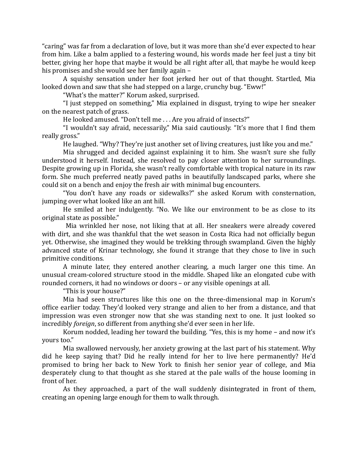"caring" was far from a declaration of love, but it was more than she'd ever expected to hear from him. Like a balm applied to a festering wound, his words made her feel just a tiny bit better, giving her hope that maybe it would be all right after all, that maybe he would keep his promises and she would see her family again -

A squishy sensation under her foot jerked her out of that thought. Startled, Mia looked down and saw that she had stepped on a large, crunchy bug. "Eww!"

"What's the matter?" Korum asked, surprised.

"I just stepped on something," Mia explained in disgust, trying to wipe her sneaker on the nearest patch of grass.

He looked amused. "Don't tell me . . . Are you afraid of insects?"

"I wouldn't say afraid, necessarily," Mia said cautiously. "It's more that I find them really gross."

He laughed. "Why? They're just another set of living creatures, just like you and me."

Mia shrugged and decided against explaining it to him. She wasn't sure she fully understood it herself. Instead, she resolved to pay closer attention to her surroundings. Despite growing up in Florida, she wasn't really comfortable with tropical nature in its raw form. She much preferred neatly paved paths in beautifully landscaped parks, where she could sit on a bench and enjoy the fresh air with minimal bug encounters.

"You don't have any roads or sidewalks?" she asked Korum with consternation, jumping over what looked like an ant hill.

He smiled at her indulgently. "No. We like our environment to be as close to its original state as possible."

Mia wrinkled her nose, not liking that at all. Her sneakers were already covered with dirt, and she was thankful that the wet season in Costa Rica had not officially begun yet. Otherwise, she imagined they would be trekking through swampland. Given the highly advanced state of Krinar technology, she found it strange that they chose to live in such primitive conditions.

A minute later, they entered another clearing, a much larger one this time. An unusual cream-colored structure stood in the middle. Shaped like an elongated cube with rounded corners, it had no windows or doors – or any visible openings at all.

"This is your house?"

Mia had seen structures like this one on the three-dimensional map in Korum's office earlier today. They'd looked very strange and alien to her from a distance, and that impression was even stronger now that she was standing next to one. It just looked so incredibly *foreign*, so different from anything she'd ever seen in her life.

Korum nodded, leading her toward the building. "Yes, this is my home - and now it's yours too."

Mia swallowed nervously, her anxiety growing at the last part of his statement. Why did he keep saying that? Did he really intend for her to live here permanently? He'd promised to bring her back to New York to finish her senior year of college, and Mia desperately clung to that thought as she stared at the pale walls of the house looming in front of her.

As they approached, a part of the wall suddenly disintegrated in front of them, creating an opening large enough for them to walk through.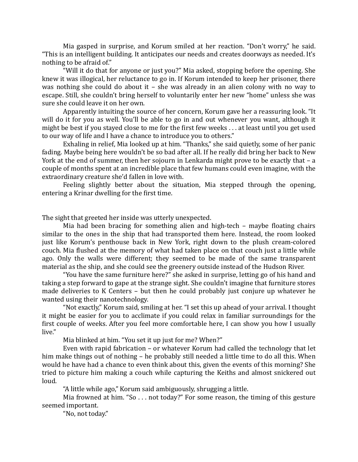Mia gasped in surprise, and Korum smiled at her reaction. "Don't worry," he said. "This is an intelligent building. It anticipates our needs and creates doorways as needed. It's nothing to be afraid of."

"Will it do that for anyone or just you?" Mia asked, stopping before the opening. She knew it was illogical, her reluctance to go in. If Korum intended to keep her prisoner, there was nothing she could do about it – she was already in an alien colony with no way to escape. Still, she couldn't bring herself to voluntarily enter her new "home" unless she was sure she could leave it on her own.

Apparently intuiting the source of her concern, Korum gave her a reassuring look. "It will do it for you as well. You'll be able to go in and out whenever you want, although it might be best if you stayed close to me for the first few weeks  $\dots$  at least until you get used to our way of life and I have a chance to introduce you to others."

Exhaling in relief, Mia looked up at him. "Thanks," she said quietly, some of her panic fading. Maybe being here wouldn't be so bad after all. If he really did bring her back to New York at the end of summer, then her sojourn in Lenkarda might prove to be exactly that  $-$  a couple of months spent at an incredible place that few humans could even imagine, with the extraordinary creature she'd fallen in love with.

Feeling slightly better about the situation, Mia stepped through the opening, entering a Krinar dwelling for the first time.

The sight that greeted her inside was utterly unexpected.

Mia had been bracing for something alien and high-tech – maybe floating chairs similar to the ones in the ship that had transported them here. Instead, the room looked just like Korum's penthouse back in New York, right down to the plush cream-colored couch. Mia flushed at the memory of what had taken place on that couch just a little while ago. Only the walls were different; they seemed to be made of the same transparent material as the ship, and she could see the greenery outside instead of the Hudson River.

"You have the same furniture here?" she asked in surprise, letting go of his hand and taking a step forward to gape at the strange sight. She couldn't imagine that furniture stores made deliveries to K Centers – but then he could probably just conjure up whatever he wanted using their nanotechnology.

"Not exactly," Korum said, smiling at her. "I set this up ahead of your arrival. I thought it might be easier for you to acclimate if you could relax in familiar surroundings for the first couple of weeks. After you feel more comfortable here, I can show you how I usually live."

Mia blinked at him. "You set it up just for me? When?"

Even with rapid fabrication  $-$  or whatever Korum had called the technology that let him make things out of nothing – he probably still needed a little time to do all this. When would he have had a chance to even think about this, given the events of this morning? She tried to picture him making a couch while capturing the Keiths and almost snickered out loud.

"A little while ago," Korum said ambiguously, shrugging a little.

Mia frowned at him. "So  $\dots$  not today?" For some reason, the timing of this gesture seemed important.

"No, not today."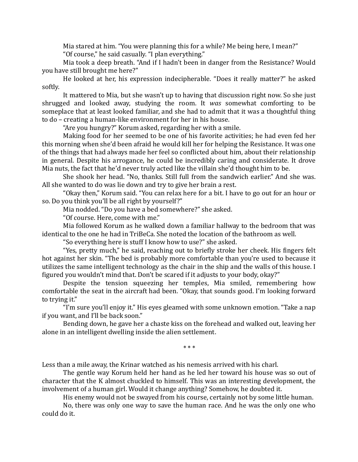Mia stared at him. "You were planning this for a while? Me being here, I mean?" "Of course," he said casually. "I plan everything."

Mia took a deep breath. "And if I hadn't been in danger from the Resistance? Would you have still brought me here?"

He looked at her, his expression indecipherable. "Does it really matter?" he asked softly.

It mattered to Mia, but she wasn't up to having that discussion right now. So she just shrugged and looked away, studying the room. It was somewhat comforting to be someplace that at least looked familiar, and she had to admit that it was a thoughtful thing to do – creating a human-like environment for her in his house.

"Are you hungry?" Korum asked, regarding her with a smile.

Making food for her seemed to be one of his favorite activities; he had even fed her this morning when she'd been afraid he would kill her for helping the Resistance. It was one of the things that had always made her feel so conflicted about him, about their relationship in general. Despite his arrogance, he could be incredibly caring and considerate. It drove Mia nuts, the fact that he'd never truly acted like the villain she'd thought him to be.

She shook her head. "No, thanks. Still full from the sandwich earlier." And she was. All she wanted to do was lie down and try to give her brain a rest.

"Okay then," Korum said. "You can relax here for a bit. I have to go out for an hour or so. Do you think you'll be all right by yourself?"

Mia nodded. "Do you have a bed somewhere?" she asked.

"Of course. Here, come with me."

Mia followed Korum as he walked down a familiar hallway to the bedroom that was identical to the one he had in TriBeCa. She noted the location of the bathroom as well.

"So everything here is stuff I know how to use?" she asked.

"Yes, pretty much," he said, reaching out to briefly stroke her cheek. His fingers felt hot against her skin. "The bed is probably more comfortable than you're used to because it utilizes the same intelligent technology as the chair in the ship and the walls of this house. I figured you wouldn't mind that. Don't be scared if it adjusts to your body, okay?"

Despite the tension squeezing her temples, Mia smiled, remembering how comfortable the seat in the aircraft had been. "Okay, that sounds good. I'm looking forward to trying it."

"I'm sure you'll enjoy it." His eyes gleamed with some unknown emotion. "Take a nap if you want, and I'll be back soon."

Bending down, he gave her a chaste kiss on the forehead and walked out, leaving her alone in an intelligent dwelling inside the alien settlement.

\* \* \* 

Less than a mile away, the Krinar watched as his nemesis arrived with his charl.

The gentle way Korum held her hand as he led her toward his house was so out of character that the K almost chuckled to himself. This was an interesting development, the involvement of a human girl. Would it change anything? Somehow, he doubted it.

His enemy would not be swayed from his course, certainly not by some little human.

No, there was only one way to save the human race. And he was the only one who could do it.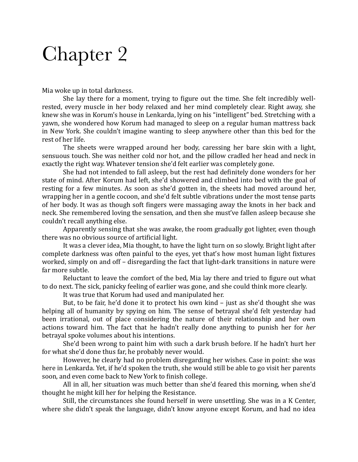#### <span id="page-11-0"></span>Chapter 2

Mia woke up in total darkness.

She lay there for a moment, trying to figure out the time. She felt incredibly wellrested, every muscle in her body relaxed and her mind completely clear. Right away, she knew she was in Korum's house in Lenkarda, lying on his "intelligent" bed. Stretching with a yawn, she wondered how Korum had managed to sleep on a regular human mattress back in New York. She couldn't imagine wanting to sleep anywhere other than this bed for the rest of her life.

The sheets were wrapped around her body, caressing her bare skin with a light, sensuous touch. She was neither cold nor hot, and the pillow cradled her head and neck in exactly the right way. Whatever tension she'd felt earlier was completely gone.

She had not intended to fall asleep, but the rest had definitely done wonders for her state of mind. After Korum had left, she'd showered and climbed into bed with the goal of resting for a few minutes. As soon as she'd gotten in, the sheets had moved around her, wrapping her in a gentle cocoon, and she'd felt subtle vibrations under the most tense parts of her body. It was as though soft fingers were massaging away the knots in her back and neck. She remembered loving the sensation, and then she must've fallen asleep because she couldn't recall anything else.

Apparently sensing that she was awake, the room gradually got lighter, even though there was no obvious source of artificial light.

It was a clever idea, Mia thought, to have the light turn on so slowly. Bright light after complete darkness was often painful to the eyes, yet that's how most human light fixtures worked, simply on and off – disregarding the fact that light-dark transitions in nature were far more subtle.

Reluctant to leave the comfort of the bed, Mia lay there and tried to figure out what to do next. The sick, panicky feeling of earlier was gone, and she could think more clearly.

It was true that Korum had used and manipulated her.

But, to be fair, he'd done it to protect his own kind  $-$  just as she'd thought she was helping all of humanity by spying on him. The sense of betrayal she'd felt yesterday had been irrational, out of place considering the nature of their relationship and her own actions toward him. The fact that he hadn't really done anything to punish her for *her* betrayal spoke volumes about his intentions.

She'd been wrong to paint him with such a dark brush before. If he hadn't hurt her for what she'd done thus far, he probably never would.

However, he clearly had no problem disregarding her wishes. Case in point: she was here in Lenkarda. Yet, if he'd spoken the truth, she would still be able to go visit her parents soon, and even come back to New York to finish college.

All in all, her situation was much better than she'd feared this morning, when she'd thought he might kill her for helping the Resistance.

Still, the circumstances she found herself in were unsettling. She was in a K Center, where she didn't speak the language, didn't know anyone except Korum, and had no idea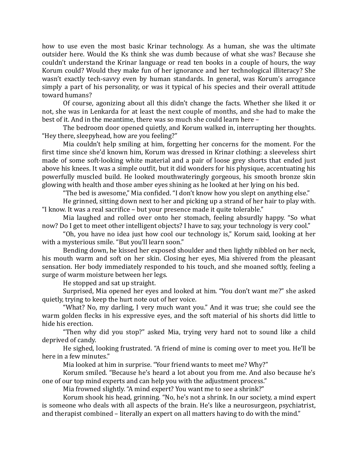how to use even the most basic Krinar technology. As a human, she was the ultimate outsider here. Would the Ks think she was dumb because of what she was? Because she couldn't understand the Krinar language or read ten books in a couple of hours, the way Korum could? Would they make fun of her ignorance and her technological illiteracy? She wasn't exactly tech-savvy even by human standards. In general, was Korum's arrogance simply a part of his personality, or was it typical of his species and their overall attitude toward humans?

Of course, agonizing about all this didn't change the facts. Whether she liked it or not, she was in Lenkarda for at least the next couple of months, and she had to make the best of it. And in the meantime, there was so much she could learn here –

The bedroom door opened quietly, and Korum walked in, interrupting her thoughts. "Hey there, sleepyhead, how are you feeling?"

Mia couldn't help smiling at him, forgetting her concerns for the moment. For the first time since she'd known him, Korum was dressed in Krinar clothing: a sleeveless shirt made of some soft-looking white material and a pair of loose grey shorts that ended just above his knees. It was a simple outfit, but it did wonders for his physique, accentuating his powerfully muscled build. He looked mouthwateringly gorgeous, his smooth bronze skin glowing with health and those amber eyes shining as he looked at her lying on his bed.

"The bed is awesome," Mia confided. "I don't know how you slept on anything else."

He grinned, sitting down next to her and picking up a strand of her hair to play with. "I know. It was a real sacrifice – but your presence made it quite tolerable."

Mia laughed and rolled over onto her stomach, feeling absurdly happy. "So what now? Do I get to meet other intelligent objects? I have to say, your technology is very cool."

"Oh, you have no idea just how cool our technology is," Korum said, looking at her with a mysterious smile. "But you'll learn soon."

Bending down, he kissed her exposed shoulder and then lightly nibbled on her neck, his mouth warm and soft on her skin. Closing her eyes, Mia shivered from the pleasant sensation. Her body immediately responded to his touch, and she moaned softly, feeling a surge of warm moisture between her legs.

He stopped and sat up straight.

Surprised, Mia opened her eyes and looked at him. "You don't want me?" she asked quietly, trying to keep the hurt note out of her voice.

"What? No, my darling, I very much want you." And it was true; she could see the warm golden flecks in his expressive eyes, and the soft material of his shorts did little to hide his erection.

"Then why did you stop?" asked Mia, trying very hard not to sound like a child deprived of candy.

He sighed, looking frustrated. "A friend of mine is coming over to meet you. He'll be here in a few minutes."

Mia looked at him in surprise. "Your friend wants to meet me? Why?"

Korum smiled. "Because he's heard a lot about you from me. And also because he's one of our top mind experts and can help you with the adjustment process."

Mia frowned slightly. "A mind expert? You want me to see a shrink?"

Korum shook his head, grinning. "No, he's not a shrink. In our society, a mind expert is someone who deals with all aspects of the brain. He's like a neurosurgeon, psychiatrist, and therapist combined - literally an expert on all matters having to do with the mind."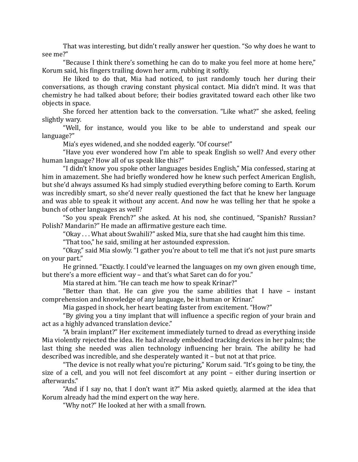That was interesting, but didn't really answer her question. "So why does he want to see me?"

"Because I think there's something he can do to make you feel more at home here," Korum said, his fingers trailing down her arm, rubbing it softly.

He liked to do that, Mia had noticed, to just randomly touch her during their conversations, as though craving constant physical contact. Mia didn't mind. It was that chemistry he had talked about before; their bodies gravitated toward each other like two objects in space.

She forced her attention back to the conversation. "Like what?" she asked, feeling slightly wary.

"Well, for instance, would you like to be able to understand and speak our language?"

Mia's eyes widened, and she nodded eagerly. "Of course!"

"Have you ever wondered how I'm able to speak English so well? And every other human language? How all of us speak like this?"

"I didn't know you spoke other languages besides English," Mia confessed, staring at him in amazement. She had briefly wondered how he knew such perfect American English, but she'd always assumed Ks had simply studied everything before coming to Earth. Korum was incredibly smart, so she'd never really questioned the fact that he knew her language and was able to speak it without any accent. And now he was telling her that he spoke a bunch of other languages as well?

"So you speak French?" she asked. At his nod, she continued, "Spanish? Russian? Polish? Mandarin?" He made an affirmative gesture each time.

"Okay ... What about Swahili?" asked Mia, sure that she had caught him this time.

"That too," he said, smiling at her astounded expression.

"Okay," said Mia slowly. "I gather you're about to tell me that it's not just pure smarts on your part."

He grinned. "Exactly. I could've learned the languages on my own given enough time, but there's a more efficient way – and that's what Saret can do for you."

Mia stared at him. "He can teach me how to speak Krinar?"

"Better than that. He can give you the same abilities that I have  $-$  instant comprehension and knowledge of any language, be it human or Krinar."

Mia gasped in shock, her heart beating faster from excitement. "How?"

"By giving you a tiny implant that will influence a specific region of your brain and act as a highly advanced translation device."

"A brain implant?" Her excitement immediately turned to dread as everything inside Mia violently rejected the idea. He had already embedded tracking devices in her palms; the last thing she needed was alien technology influencing her brain. The ability he had described was incredible, and she desperately wanted it  $-$  but not at that price.

"The device is not really what you're picturing," Korum said. "It's going to be tiny, the size of a cell, and you will not feel discomfort at any point – either during insertion or afterwards."

"And if I say no, that I don't want it?" Mia asked quietly, alarmed at the idea that Korum already had the mind expert on the way here.

"Why not?" He looked at her with a small frown.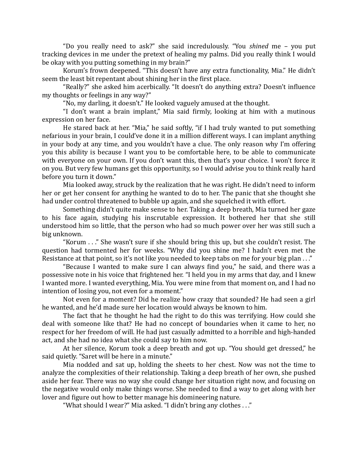"Do you really need to ask?" she said incredulously. "You *shined* me - you put tracking devices in me under the pretext of healing my palms. Did you really think I would be okay with you putting something in my brain?"

Korum's frown deepened. "This doesn't have any extra functionality, Mia." He didn't seem the least bit repentant about shining her in the first place.

"Really?" she asked him acerbically. "It doesn't do anything extra? Doesn't influence my thoughts or feelings in any way?"

"No, my darling, it doesn't." He looked vaguely amused at the thought.

"I don't want a brain implant," Mia said firmly, looking at him with a mutinous expression on her face.

He stared back at her. "Mia," he said softly, "if I had truly wanted to put something nefarious in your brain, I could've done it in a million different ways. I can implant anything in your body at any time, and you wouldn't have a clue. The only reason why I'm offering you this ability is because I want you to be comfortable here, to be able to communicate with everyone on your own. If you don't want this, then that's your choice. I won't force it on you. But very few humans get this opportunity, so I would advise you to think really hard before you turn it down."

Mia looked away, struck by the realization that he was right. He didn't need to inform her or get her consent for anything he wanted to do to her. The panic that she thought she had under control threatened to bubble up again, and she squelched it with effort.

Something didn't quite make sense to her. Taking a deep breath, Mia turned her gaze to his face again, studying his inscrutable expression. It bothered her that she still understood him so little, that the person who had so much power over her was still such a big unknown.

"Korum  $\ldots$ " She wasn't sure if she should bring this up, but she couldn't resist. The question had tormented her for weeks. "Why did you shine me? I hadn't even met the Resistance at that point, so it's not like you needed to keep tabs on me for your big plan  $\dots$ "

"Because I wanted to make sure I can always find you," he said, and there was a possessive note in his voice that frightened her. "I held you in my arms that day, and I knew I wanted more. I wanted everything, Mia. You were mine from that moment on, and I had no intention of losing you, not even for a moment."

Not even for a moment? Did he realize how crazy that sounded? He had seen a girl he wanted, and he'd made sure her location would always be known to him.

The fact that he thought he had the right to do this was terrifying. How could she deal with someone like that? He had no concept of boundaries when it came to her, no respect for her freedom of will. He had just casually admitted to a horrible and high-handed act, and she had no idea what she could say to him now.

At her silence, Korum took a deep breath and got up. "You should get dressed," he said quietly. "Saret will be here in a minute."

Mia nodded and sat up, holding the sheets to her chest. Now was not the time to analyze the complexities of their relationship. Taking a deep breath of her own, she pushed aside her fear. There was no way she could change her situation right now, and focusing on the negative would only make things worse. She needed to find a way to get along with her lover and figure out how to better manage his domineering nature.

"What should I wear?" Mia asked. "I didn't bring any clothes  $\dots$ "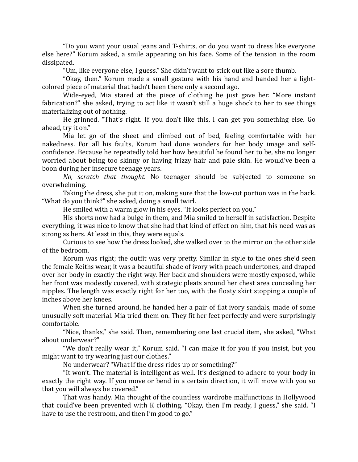"Do you want your usual jeans and T-shirts, or do you want to dress like everyone else here?" Korum asked, a smile appearing on his face. Some of the tension in the room dissipated.

"Um, like everyone else, I guess." She didn't want to stick out like a sore thumb.

"Okay, then." Korum made a small gesture with his hand and handed her a lightcolored piece of material that hadn't been there only a second ago.

Wide-eyed, Mia stared at the piece of clothing he just gave her. "More instant fabrication?" she asked, trying to act like it wasn't still a huge shock to her to see things materializing out of nothing.

He grinned. "That's right. If you don't like this, I can get you something else. Go ahead, try it on."

Mia let go of the sheet and climbed out of bed, feeling comfortable with her nakedness. For all his faults, Korum had done wonders for her body image and selfconfidence. Because he repeatedly told her how beautiful he found her to be, she no longer worried about being too skinny or having frizzy hair and pale skin. He would've been a boon during her insecure teenage years.

*No, scratch that thought.* No teenager should be subjected to someone so overwhelming. 

Taking the dress, she put it on, making sure that the low-cut portion was in the back. "What do you think?" she asked, doing a small twirl.

He smiled with a warm glow in his eyes. "It looks perfect on you."

His shorts now had a bulge in them, and Mia smiled to herself in satisfaction. Despite everything, it was nice to know that she had that kind of effect on him, that his need was as strong as hers. At least in this, they were equals.

Curious to see how the dress looked, she walked over to the mirror on the other side of the bedroom.

Korum was right; the outfit was very pretty. Similar in style to the ones she'd seen the female Keiths wear, it was a beautiful shade of ivory with peach undertones, and draped over her body in exactly the right way. Her back and shoulders were mostly exposed, while her front was modestly covered, with strategic pleats around her chest area concealing her nipples. The length was exactly right for her too, with the floaty skirt stopping a couple of inches above her knees.

When she turned around, he handed her a pair of flat ivory sandals, made of some unusually soft material. Mia tried them on. They fit her feet perfectly and were surprisingly comfortable. 

"Nice, thanks," she said. Then, remembering one last crucial item, she asked, "What about underwear?"

"We don't really wear it," Korum said. "I can make it for you if you insist, but you might want to try wearing just our clothes."

No underwear? "What if the dress rides up or something?"

"It won't. The material is intelligent as well. It's designed to adhere to your body in exactly the right way. If you move or bend in a certain direction, it will move with you so that you will always be covered."

That was handy. Mia thought of the countless wardrobe malfunctions in Hollywood that could've been prevented with K clothing. "Okay, then I'm ready, I guess," she said. "I have to use the restroom, and then I'm good to go."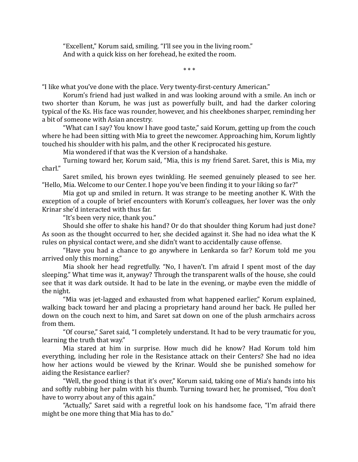"Excellent," Korum said, smiling. "I'll see you in the living room." And with a quick kiss on her forehead, he exited the room.

\* \* \* 

"I like what you've done with the place. Very twenty-first-century American."

Korum's friend had just walked in and was looking around with a smile. An inch or two shorter than Korum, he was just as powerfully built, and had the darker coloring typical of the Ks. His face was rounder, however, and his cheekbones sharper, reminding her a bit of someone with Asian ancestry.

"What can I say? You know I have good taste," said Korum, getting up from the couch where he had been sitting with Mia to greet the newcomer. Approaching him, Korum lightly touched his shoulder with his palm, and the other K reciprocated his gesture.

Mia wondered if that was the K version of a handshake.

Turning toward her, Korum said, "Mia, this is my friend Saret. Saret, this is Mia, my charl."

Saret smiled, his brown eyes twinkling. He seemed genuinely pleased to see her. "Hello, Mia. Welcome to our Center. I hope you've been finding it to your liking so far?"

Mia got up and smiled in return. It was strange to be meeting another K. With the exception of a couple of brief encounters with Korum's colleagues, her lover was the only Krinar she'd interacted with thus far.

"It's been very nice, thank you."

Should she offer to shake his hand? Or do that shoulder thing Korum had just done? As soon as the thought occurred to her, she decided against it. She had no idea what the K rules on physical contact were, and she didn't want to accidentally cause offense.

"Have you had a chance to go anywhere in Lenkarda so far? Korum told me you arrived only this morning."

Mia shook her head regretfully. "No, I haven't. I'm afraid I spent most of the day sleeping." What time was it, anyway? Through the transparent walls of the house, she could see that it was dark outside. It had to be late in the evening, or maybe even the middle of the night.

"Mia was jet-lagged and exhausted from what happened earlier," Korum explained, walking back toward her and placing a proprietary hand around her back. He pulled her down on the couch next to him, and Saret sat down on one of the plush armchairs across from them.

"Of course," Saret said, "I completely understand. It had to be very traumatic for you, learning the truth that way."

Mia stared at him in surprise. How much did he know? Had Korum told him everything, including her role in the Resistance attack on their Centers? She had no idea how her actions would be viewed by the Krinar. Would she be punished somehow for aiding the Resistance earlier?

"Well, the good thing is that it's over," Korum said, taking one of Mia's hands into his and softly rubbing her palm with his thumb. Turning toward her, he promised, "You don't have to worry about any of this again."

"Actually," Saret said with a regretful look on his handsome face, "I'm afraid there might be one more thing that Mia has to do."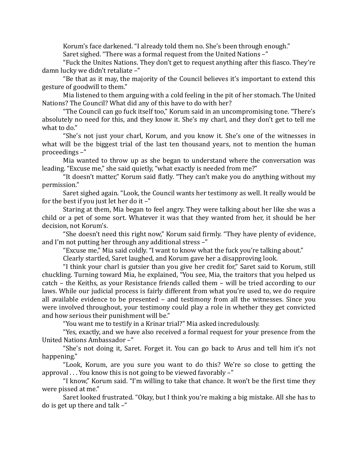Korum's face darkened. "I already told them no. She's been through enough." Saret sighed. "There was a formal request from the United Nations -"

"Fuck the Unites Nations. They don't get to request anything after this fiasco. They're damn lucky we didn't retaliate -"

"Be that as it may, the majority of the Council believes it's important to extend this gesture of goodwill to them."

Mia listened to them arguing with a cold feeling in the pit of her stomach. The United Nations? The Council? What did any of this have to do with her?

"The Council can go fuck itself too," Korum said in an uncompromising tone. "There's absolutely no need for this, and they know it. She's my charl, and they don't get to tell me what to do."

"She's not just your charl, Korum, and you know it. She's one of the witnesses in what will be the biggest trial of the last ten thousand years, not to mention the human proceedings $-$ "

Mia wanted to throw up as she began to understand where the conversation was leading. "Excuse me," she said quietly, "what exactly is needed from me?"

"It doesn't matter," Korum said flatly. "They can't make you do anything without my permission."

Saret sighed again. "Look, the Council wants her testimony as well. It really would be for the best if you just let her do it  $-$ "

Staring at them, Mia began to feel angry. They were talking about her like she was a child or a pet of some sort. Whatever it was that they wanted from her, it should be her decision, not Korum's.

"She doesn't need this right now," Korum said firmly. "They have plenty of evidence, and I'm not putting her through any additional stress  $-$ "

"Excuse me," Mia said coldly. "I want to know what the fuck you're talking about."

Clearly startled, Saret laughed, and Korum gave her a disapproving look.

"I think your charl is gutsier than you give her credit for," Saret said to Korum, still chuckling. Turning toward Mia, he explained, "You see, Mia, the traitors that you helped us  $catch - the Keiths, as your Resistance friends called them - will be tried according to our$ laws. While our judicial process is fairly different from what you're used to, we do require all available evidence to be presented – and testimony from all the witnesses. Since you were involved throughout, your testimony could play a role in whether they get convicted and how serious their punishment will be."

"You want me to testify in a Krinar trial?" Mia asked incredulously.

"Yes, exactly, and we have also received a formal request for your presence from the United Nations Ambassador -"

"She's not doing it, Saret. Forget it. You can go back to Arus and tell him it's not happening."

"Look, Korum, are you sure you want to do this? We're so close to getting the approval  $\ldots$  You know this is not going to be viewed favorably –"

"I know," Korum said. "I'm willing to take that chance. It won't be the first time they were pissed at me."

Saret looked frustrated. "Okay, but I think you're making a big mistake. All she has to do is get up there and talk  $-$ "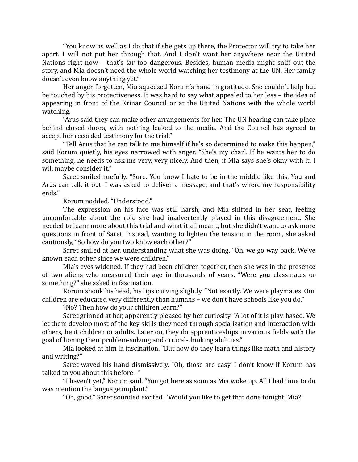"You know as well as I do that if she gets up there, the Protector will try to take her apart. I will not put her through that. And I don't want her anywhere near the United Nations right now – that's far too dangerous. Besides, human media might sniff out the story, and Mia doesn't need the whole world watching her testimony at the UN. Her family doesn't even know anything yet."

Her anger forgotten, Mia squeezed Korum's hand in gratitude. She couldn't help but be touched by his protectiveness. It was hard to say what appealed to her less – the idea of appearing in front of the Krinar Council or at the United Nations with the whole world watching. 

"Arus said they can make other arrangements for her. The UN hearing can take place behind closed doors, with nothing leaked to the media. And the Council has agreed to accept her recorded testimony for the trial."

"Tell Arus that he can talk to me himself if he's so determined to make this happen," said Korum quietly, his eyes narrowed with anger. "She's my charl. If he wants her to do something, he needs to ask me very, very nicely. And then, if Mia says she's okay with it, I will maybe consider it."

Saret smiled ruefully. "Sure. You know I hate to be in the middle like this. You and Arus can talk it out. I was asked to deliver a message, and that's where my responsibility ends."

Korum nodded. "Understood."

The expression on his face was still harsh, and Mia shifted in her seat, feeling uncomfortable about the role she had inadvertently played in this disagreement. She needed to learn more about this trial and what it all meant, but she didn't want to ask more questions in front of Saret. Instead, wanting to lighten the tension in the room, she asked cautiously, "So how do you two know each other?"

Saret smiled at her, understanding what she was doing. "Oh, we go way back. We've known each other since we were children."

Mia's eyes widened. If they had been children together, then she was in the presence of two aliens who measured their age in thousands of years. "Were you classmates or something?" she asked in fascination.

Korum shook his head, his lips curving slightly. "Not exactly. We were playmates. Our children are educated very differently than humans - we don't have schools like you do."

"No? Then how do your children learn?"

Saret grinned at her, apparently pleased by her curiosity. "A lot of it is play-based. We let them develop most of the key skills they need through socialization and interaction with others, be it children or adults. Later on, they do apprenticeships in various fields with the goal of honing their problem-solving and critical-thinking abilities."

Mia looked at him in fascination. "But how do they learn things like math and history and writing?"

Saret waved his hand dismissively. "Oh, those are easy. I don't know if Korum has talked to you about this before  $-$ "

"I haven't yet," Korum said. "You got here as soon as Mia woke up. All I had time to do was mention the language implant."

"Oh, good." Saret sounded excited. "Would you like to get that done tonight, Mia?"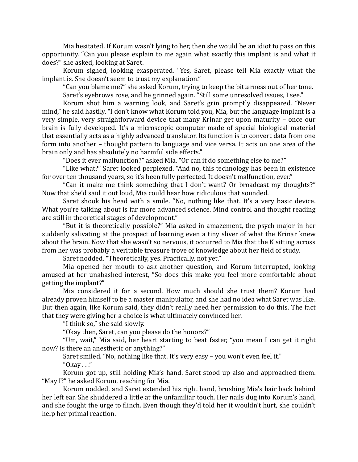Mia hesitated. If Korum wasn't lying to her, then she would be an idiot to pass on this opportunity. "Can you please explain to me again what exactly this implant is and what it does?" she asked, looking at Saret.

Korum sighed, looking exasperated. "Yes, Saret, please tell Mia exactly what the implant is. She doesn't seem to trust my explanation."

"Can you blame me?" she asked Korum, trying to keep the bitterness out of her tone.

Saret's eyebrows rose, and he grinned again. "Still some unresolved issues, I see."

Korum shot him a warning look, and Saret's grin promptly disappeared. "Never mind," he said hastily. "I don't know what Korum told you, Mia, but the language implant is a very simple, very straightforward device that many Krinar get upon maturity – once our brain is fully developed. It's a microscopic computer made of special biological material that essentially acts as a highly advanced translator. Its function is to convert data from one form into another – thought pattern to language and vice versa. It acts on one area of the brain only and has absolutely no harmful side effects."

"Does it ever malfunction?" asked Mia. "Or can it do something else to me?"

"Like what?" Saret looked perplexed. "And no, this technology has been in existence for over ten thousand vears, so it's been fully perfected. It doesn't malfunction, ever."

"Can it make me think something that I don't want? Or broadcast my thoughts?" Now that she'd said it out loud, Mia could hear how ridiculous that sounded.

Saret shook his head with a smile. "No, nothing like that. It's a very basic device. What you're talking about is far more advanced science. Mind control and thought reading are still in theoretical stages of development."

"But it is theoretically possible?" Mia asked in amazement, the psych major in her suddenly salivating at the prospect of learning even a tiny sliver of what the Krinar knew about the brain. Now that she wasn't so nervous, it occurred to Mia that the K sitting across from her was probably a veritable treasure trove of knowledge about her field of study.

Saret nodded. "Theoretically, yes. Practically, not yet."

Mia opened her mouth to ask another question, and Korum interrupted, looking amused at her unabashed interest, "So does this make you feel more comfortable about getting the implant?"

Mia considered it for a second. How much should she trust them? Korum had already proven himself to be a master manipulator, and she had no idea what Saret was like. But then again, like Korum said, they didn't really need her permission to do this. The fact that they were giving her a choice is what ultimately convinced her.

"I think so," she said slowly.

"Okay then, Saret, can you please do the honors?"

"Um, wait," Mia said, her heart starting to beat faster, "you mean I can get it right now? Is there an anesthetic or anything?"

Saret smiled. "No, nothing like that. It's very easy  $-$  you won't even feel it." "Okay  $\dots$ "

Korum got up, still holding Mia's hand. Saret stood up also and approached them. "May I?" he asked Korum, reaching for Mia.

Korum nodded, and Saret extended his right hand, brushing Mia's hair back behind her left ear. She shuddered a little at the unfamiliar touch. Her nails dug into Korum's hand, and she fought the urge to flinch. Even though they'd told her it wouldn't hurt, she couldn't help her primal reaction.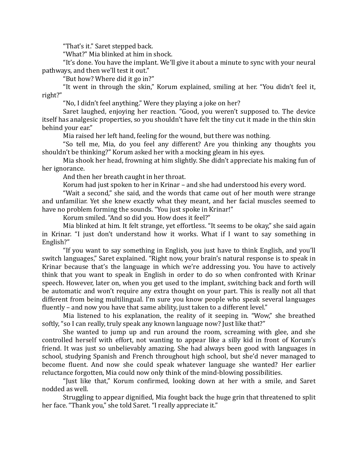"That's it." Saret stepped back.

"What?" Mia blinked at him in shock.

"It's done. You have the implant. We'll give it about a minute to sync with your neural pathways, and then we'll test it out."

"But how? Where did it go in?"

"It went in through the skin," Korum explained, smiling at her. "You didn't feel it, right?"

"No, I didn't feel anything." Were they playing a joke on her?

Saret laughed, enjoying her reaction. "Good, you weren't supposed to. The device itself has analgesic properties, so you shouldn't have felt the tiny cut it made in the thin skin behind your ear."

Mia raised her left hand, feeling for the wound, but there was nothing.

"So tell me, Mia, do you feel any different? Are you thinking any thoughts you shouldn't be thinking?" Korum asked her with a mocking gleam in his eyes.

Mia shook her head, frowning at him slightly. She didn't appreciate his making fun of her ignorance.

And then her breath caught in her throat.

Korum had just spoken to her in Krinar – and she had understood his every word.

"Wait a second," she said, and the words that came out of her mouth were strange and unfamiliar. Yet she knew exactly what they meant, and her facial muscles seemed to have no problem forming the sounds. "You just spoke in Krinar!"

Korum smiled. "And so did you. How does it feel?"

Mia blinked at him. It felt strange, yet effortless. "It seems to be okay," she said again in Krinar. "I just don't understand how it works. What if I want to say something in English?"

"If you want to say something in English, you just have to think English, and you'll switch languages," Saret explained. "Right now, your brain's natural response is to speak in Krinar because that's the language in which we're addressing you. You have to actively think that you want to speak in English in order to do so when confronted with Krinar speech. However, later on, when you get used to the implant, switching back and forth will be automatic and won't require any extra thought on your part. This is really not all that different from being multilingual. I'm sure you know people who speak several languages fluently – and now you have that same ability, just taken to a different level."

Mia listened to his explanation, the reality of it seeping in. "Wow," she breathed softly, "so I can really, truly speak any known language now? Just like that?"

She wanted to jump up and run around the room, screaming with glee, and she controlled herself with effort, not wanting to appear like a silly kid in front of Korum's friend. It was just so unbelievably amazing. She had always been good with languages in school, studying Spanish and French throughout high school, but she'd never managed to become fluent. And now she could speak whatever language she wanted? Her earlier reluctance forgotten, Mia could now only think of the mind-blowing possibilities.

"Just like that," Korum confirmed, looking down at her with a smile, and Saret nodded as well.

Struggling to appear dignified, Mia fought back the huge grin that threatened to split her face. "Thank you," she told Saret. "I really appreciate it."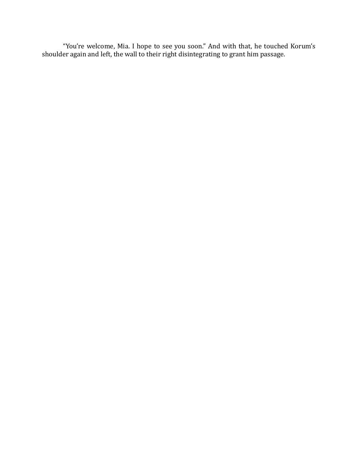"You're welcome, Mia. I hope to see you soon." And with that, he touched Korum's shoulder again and left, the wall to their right disintegrating to grant him passage.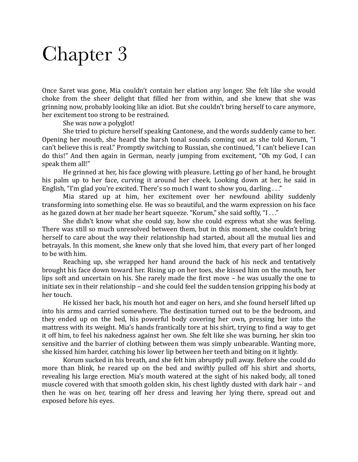### <span id="page-22-0"></span>Chapter 3

Once Saret was gone, Mia couldn't contain her elation any longer. She felt like she would choke from the sheer delight that filled her from within, and she knew that she was grinning now, probably looking like an idiot. But she couldn't bring herself to care anymore, her excitement too strong to be restrained.

She was now a polyglot!

She tried to picture herself speaking Cantonese, and the words suddenly came to her. Opening her mouth, she heard the harsh tonal sounds coming out as she told Korum, "I can't believe this is real." Promptly switching to Russian, she continued, "I can't believe I can do this!" And then again in German, nearly jumping from excitement, "Oh my God, I can speak them all!"

He grinned at her, his face glowing with pleasure. Letting go of her hand, he brought his palm up to her face, curving it around her cheek. Looking down at her, he said in English, "I'm glad you're excited. There's so much I want to show you, darling ..."

Mia stared up at him, her excitement over her newfound ability suddenly transforming into something else. He was so beautiful, and the warm expression on his face as he gazed down at her made her heart squeeze. "Korum," she said softly, "I . .."

She didn't know what she could say, how she could express what she was feeling. There was still so much unresolved between them, but in this moment, she couldn't bring herself to care about the way their relationship had started, about all the mutual lies and betrayals. In this moment, she knew only that she loved him, that every part of her longed to be with him.

Reaching up, she wrapped her hand around the back of his neck and tentatively brought his face down toward her. Rising up on her toes, she kissed him on the mouth, her lips soft and uncertain on his. She rarely made the first move – he was usually the one to initiate sex in their relationship – and she could feel the sudden tension gripping his body at her touch.

He kissed her back, his mouth hot and eager on hers, and she found herself lifted up into his arms and carried somewhere. The destination turned out to be the bedroom, and they ended up on the bed, his powerful body covering her own, pressing her into the mattress with its weight. Mia's hands frantically tore at his shirt, trying to find a way to get it off him, to feel his nakedness against her own. She felt like she was burning, her skin too sensitive and the barrier of clothing between them was simply unbearable. Wanting more, she kissed him harder, catching his lower lip between her teeth and biting on it lightly.

Korum sucked in his breath, and she felt him abruptly pull away. Before she could do more than blink, he reared up on the bed and swiftly pulled off his shirt and shorts, revealing his large erection. Mia's mouth watered at the sight of his naked body, all toned muscle covered with that smooth golden skin, his chest lightly dusted with dark hair – and then he was on her, tearing off her dress and leaving her lying there, spread out and exposed before his eyes.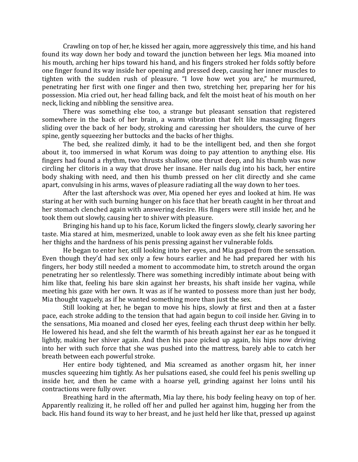Crawling on top of her, he kissed her again, more aggressively this time, and his hand found its way down her body and toward the junction between her legs. Mia moaned into his mouth, arching her hips toward his hand, and his fingers stroked her folds softly before one finger found its way inside her opening and pressed deep, causing her inner muscles to tighten with the sudden rush of pleasure. "I love how wet you are," he murmured, penetrating her first with one finger and then two, stretching her, preparing her for his possession. Mia cried out, her head falling back, and felt the moist heat of his mouth on her neck, licking and nibbling the sensitive area.

There was something else too, a strange but pleasant sensation that registered somewhere in the back of her brain, a warm vibration that felt like massaging fingers sliding over the back of her body, stroking and caressing her shoulders, the curve of her spine, gently squeezing her buttocks and the backs of her thighs.

The bed, she realized dimly, it had to be the intelligent bed, and then she forgot about it, too immersed in what Korum was doing to pay attention to anything else. His fingers had found a rhythm, two thrusts shallow, one thrust deep, and his thumb was now circling her clitoris in a way that drove her insane. Her nails dug into his back, her entire body shaking with need, and then his thumb pressed on her clit directly and she came apart, convulsing in his arms, waves of pleasure radiating all the way down to her toes.

After the last aftershock was over, Mia opened her eyes and looked at him. He was staring at her with such burning hunger on his face that her breath caught in her throat and her stomach clenched again with answering desire. His fingers were still inside her, and he took them out slowly, causing her to shiver with pleasure.

Bringing his hand up to his face, Korum licked the fingers slowly, clearly savoring her taste. Mia stared at him, mesmerized, unable to look away even as she felt his knee parting her thighs and the hardness of his penis pressing against her vulnerable folds.

He began to enter her, still looking into her eyes, and Mia gasped from the sensation. Even though they'd had sex only a few hours earlier and he had prepared her with his fingers, her body still needed a moment to accommodate him, to stretch around the organ penetrating her so relentlessly. There was something incredibly intimate about being with him like that, feeling his bare skin against her breasts, his shaft inside her vagina, while meeting his gaze with her own. It was as if he wanted to possess more than just her body, Mia thought vaguely, as if he wanted something more than just the sex.

Still looking at her, he began to move his hips, slowly at first and then at a faster pace, each stroke adding to the tension that had again begun to coil inside her. Giving in to the sensations, Mia moaned and closed her eyes, feeling each thrust deep within her belly. He lowered his head, and she felt the warmth of his breath against her ear as he tongued it lightly, making her shiver again. And then his pace picked up again, his hips now driving into her with such force that she was pushed into the mattress, barely able to catch her breath between each powerful stroke.

Her entire body tightened, and Mia screamed as another orgasm hit, her inner muscles squeezing him tightly. As her pulsations eased, she could feel his penis swelling up inside her, and then he came with a hoarse yell, grinding against her loins until his contractions were fully over.

Breathing hard in the aftermath, Mia lay there, his body feeling heavy on top of her. Apparently realizing it, he rolled off her and pulled her against him, hugging her from the back. His hand found its way to her breast, and he just held her like that, pressed up against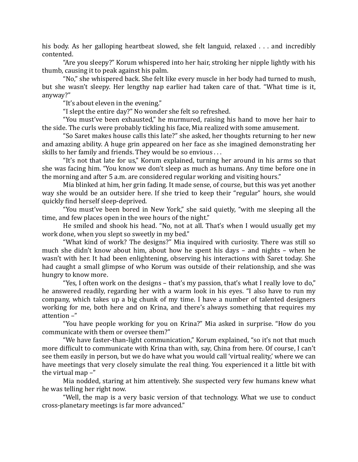his body. As her galloping heartbeat slowed, she felt languid, relaxed  $\ldots$  and incredibly contented. 

"Are you sleepy?" Korum whispered into her hair, stroking her nipple lightly with his thumb, causing it to peak against his palm.

"No," she whispered back. She felt like every muscle in her body had turned to mush, but she wasn't sleepy. Her lengthy nap earlier had taken care of that. "What time is it, anyway?"

"It's about eleven in the evening."

"I slept the entire day?" No wonder she felt so refreshed.

"You must've been exhausted," he murmured, raising his hand to move her hair to the side. The curls were probably tickling his face. Mia realized with some amusement.

"So Saret makes house calls this late?" she asked, her thoughts returning to her new and amazing ability. A huge grin appeared on her face as she imagined demonstrating her skills to her family and friends. They would be so envious  $\dots$ 

"It's not that late for us," Korum explained, turning her around in his arms so that she was facing him. "You know we don't sleep as much as humans. Any time before one in the morning and after 5 a.m. are considered regular working and visiting hours."

Mia blinked at him, her grin fading. It made sense, of course, but this was yet another way she would be an outsider here. If she tried to keep their "regular" hours, she would quickly find herself sleep-deprived.

"You must've been bored in New York," she said quietly, "with me sleeping all the time, and few places open in the wee hours of the night."

He smiled and shook his head. "No, not at all. That's when I would usually get my work done, when you slept so sweetly in my bed."

"What kind of work? The designs?" Mia inquired with curiosity. There was still so much she didn't know about him, about how he spent his days  $-$  and nights  $-$  when he wasn't with her. It had been enlightening, observing his interactions with Saret today. She had caught a small glimpse of who Korum was outside of their relationship, and she was hungry to know more.

"Yes, I often work on the designs – that's my passion, that's what I really love to do," he answered readily, regarding her with a warm look in his eyes. "I also have to run my company, which takes up a big chunk of my time. I have a number of talented designers working for me, both here and on Krina, and there's always something that requires my attention $-$ "

"You have people working for you on Krina?" Mia asked in surprise. "How do you communicate with them or oversee them?"

"We have faster-than-light communication," Korum explained, "so it's not that much more difficult to communicate with Krina than with, say, China from here. Of course, I can't see them easily in person, but we do have what you would call 'virtual reality,' where we can have meetings that very closely simulate the real thing. You experienced it a little bit with the virtual map  $-$ "

Mia nodded, staring at him attentively. She suspected very few humans knew what he was telling her right now.

"Well, the map is a very basic version of that technology. What we use to conduct cross-planetary meetings is far more advanced."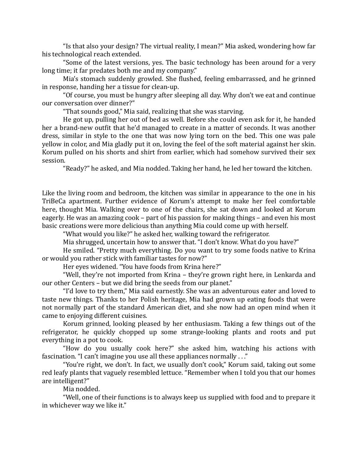"Is that also your design? The virtual reality, I mean?" Mia asked, wondering how far his technological reach extended.

"Some of the latest versions, yes. The basic technology has been around for a very long time; it far predates both me and my company."

Mia's stomach suddenly growled. She flushed, feeling embarrassed, and he grinned in response, handing her a tissue for clean-up.

"Of course, you must be hungry after sleeping all day. Why don't we eat and continue our conversation over dinner?"

"That sounds good," Mia said, realizing that she was starving.

He got up, pulling her out of bed as well. Before she could even ask for it, he handed her a brand-new outfit that he'd managed to create in a matter of seconds. It was another dress, similar in style to the one that was now lying torn on the bed. This one was pale yellow in color, and Mia gladly put it on, loving the feel of the soft material against her skin. Korum pulled on his shorts and shirt from earlier, which had somehow survived their sex session. 

"Ready?" he asked, and Mia nodded. Taking her hand, he led her toward the kitchen.

Like the living room and bedroom, the kitchen was similar in appearance to the one in his TriBeCa apartment. Further evidence of Korum's attempt to make her feel comfortable here, thought Mia. Walking over to one of the chairs, she sat down and looked at Korum eagerly. He was an amazing cook – part of his passion for making things – and even his most basic creations were more delicious than anything Mia could come up with herself.

"What would you like?" he asked her, walking toward the refrigerator.

Mia shrugged, uncertain how to answer that. "I don't know. What do you have?"

He smiled. "Pretty much everything. Do you want to try some foods native to Krina or would you rather stick with familiar tastes for now?"

Her eyes widened. "You have foods from Krina here?"

"Well, they're not imported from Krina - they're grown right here, in Lenkarda and our other Centers – but we did bring the seeds from our planet."

"I'd love to try them," Mia said earnestly. She was an adventurous eater and loved to taste new things. Thanks to her Polish heritage, Mia had grown up eating foods that were not normally part of the standard American diet, and she now had an open mind when it came to enjoying different cuisines.

Korum grinned, looking pleased by her enthusiasm. Taking a few things out of the refrigerator, he quickly chopped up some strange-looking plants and roots and put everything in a pot to cook.

"How do you usually cook here?" she asked him, watching his actions with fascination. "I can't imagine you use all these appliances normally  $\dots$ "

"You're right, we don't. In fact, we usually don't cook," Korum said, taking out some red leafy plants that vaguely resembled lettuce. "Remember when I told you that our homes are intelligent?"

Mia nodded.

"Well, one of their functions is to always keep us supplied with food and to prepare it in whichever way we like it."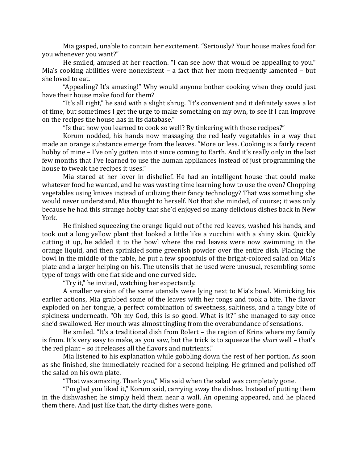Mia gasped, unable to contain her excitement. "Seriously? Your house makes food for you whenever you want?"

He smiled, amused at her reaction. "I can see how that would be appealing to you." Mia's cooking abilities were nonexistent  $-$  a fact that her mom frequently lamented  $-$  but she loved to eat.

"Appealing? It's amazing!" Why would anyone bother cooking when they could just have their house make food for them?

"It's all right," he said with a slight shrug. "It's convenient and it definitely saves a lot of time, but sometimes I get the urge to make something on my own, to see if I can improve on the recipes the house has in its database."

"Is that how you learned to cook so well? By tinkering with those recipes?"

Korum nodded, his hands now massaging the red leafy vegetables in a way that made an orange substance emerge from the leaves. "More or less. Cooking is a fairly recent hobby of mine – I've only gotten into it since coming to Earth. And it's really only in the last few months that I've learned to use the human appliances instead of just programming the house to tweak the recipes it uses."

Mia stared at her lover in disbelief. He had an intelligent house that could make whatever food he wanted, and he was wasting time learning how to use the oven? Chopping vegetables using knives instead of utilizing their fancy technology? That was something she would never understand, Mia thought to herself. Not that she minded, of course; it was only because he had this strange hobby that she'd enjoyed so many delicious dishes back in New York.

He finished squeezing the orange liquid out of the red leaves, washed his hands, and took out a long yellow plant that looked a little like a zucchini with a shiny skin. Quickly cutting it up, he added it to the bowl where the red leaves were now swimming in the orange liquid, and then sprinkled some greenish powder over the entire dish. Placing the bowl in the middle of the table, he put a few spoonfuls of the bright-colored salad on Mia's plate and a larger helping on his. The utensils that he used were unusual, resembling some type of tongs with one flat side and one curved side.

"Try it," he invited, watching her expectantly.

A smaller version of the same utensils were lying next to Mia's bowl. Mimicking his earlier actions, Mia grabbed some of the leaves with her tongs and took a bite. The flavor exploded on her tongue, a perfect combination of sweetness, saltiness, and a tangy bite of spiciness underneath. "Oh my God, this is so good. What is it?" she managed to say once she'd swallowed. Her mouth was almost tingling from the overabundance of sensations.

He smiled. "It's a traditional dish from Rolert  $-$  the region of Krina where my family is from. It's very easy to make, as you saw, but the trick is to squeeze the *shari* well – that's the red plant  $-$  so it releases all the flavors and nutrients."

Mia listened to his explanation while gobbling down the rest of her portion. As soon as she finished, she immediately reached for a second helping. He grinned and polished off the salad on his own plate.

"That was amazing. Thank you," Mia said when the salad was completely gone.

"I'm glad you liked it," Korum said, carrying away the dishes. Instead of putting them in the dishwasher, he simply held them near a wall. An opening appeared, and he placed them there. And just like that, the dirty dishes were gone.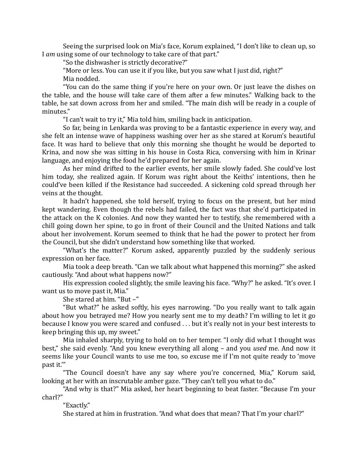Seeing the surprised look on Mia's face, Korum explained, "I don't like to clean up, so I *am* using some of our technology to take care of that part."

"So the dishwasher is strictly decorative?"

"More or less. You can use it if you like, but you saw what I just did, right?"

Mia nodded.

"You can do the same thing if you're here on your own. Or just leave the dishes on the table, and the house will take care of them after a few minutes." Walking back to the table, he sat down across from her and smiled. "The main dish will be ready in a couple of minutes."

"I can't wait to try it," Mia told him, smiling back in anticipation.

So far, being in Lenkarda was proving to be a fantastic experience in every way, and she felt an intense wave of happiness washing over her as she stared at Korum's beautiful face. It was hard to believe that only this morning she thought he would be deported to Krina, and now she was sitting in his house in Costa Rica, conversing with him in Krinar language, and enjoying the food he'd prepared for her again.

As her mind drifted to the earlier events, her smile slowly faded. She could've lost him today, she realized again. If Korum was right about the Keiths' intentions, then he could've been killed if the Resistance had succeeded. A sickening cold spread through her veins at the thought.

It hadn't happened, she told herself, trying to focus on the present, but her mind kept wandering. Even though the rebels had failed, the fact was that she'd participated in the attack on the K colonies. And now they wanted her to testify, she remembered with a chill going down her spine, to go in front of their Council and the United Nations and talk about her involvement. Korum seemed to think that he had the power to protect her from the Council, but she didn't understand how something like that worked.

"What's the matter?" Korum asked, apparently puzzled by the suddenly serious expression on her face.

Mia took a deep breath. "Can we talk about what happened this morning?" she asked cautiously. "And about what happens now?"

His expression cooled slightly, the smile leaving his face. "Why?" he asked. "It's over. I want us to move past it, Mia."

She stared at him. "But -"

"But what?" he asked softly, his eyes narrowing. "Do you really want to talk again about how you betrayed me? How you nearly sent me to my death? I'm willing to let it go because I know you were scared and confused ... but it's really not in your best interests to keep bringing this up, my sweet."

Mia inhaled sharply, trying to hold on to her temper. "I only did what I thought was best," she said evenly. "And you knew everything all along – and you *used* me. And now it seems like your Council wants to use me too, so excuse me if I'm not quite ready to 'move past it."

"The Council doesn't have any say where you're concerned, Mia," Korum said, looking at her with an inscrutable amber gaze. "They can't tell you what to do."

"And why is that?" Mia asked, her heart beginning to beat faster. "Because I'm your charl?"

"Exactly."

She stared at him in frustration. "And what does that mean? That I'm your charl?"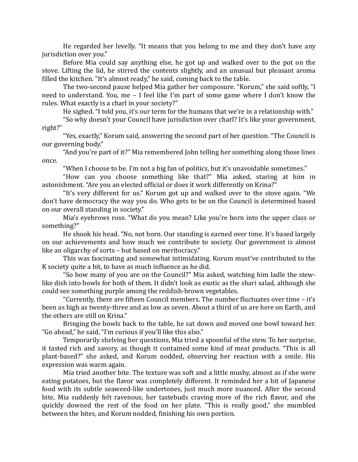He regarded her levelly. "It means that you belong to me and they don't have any jurisdiction over you."

Before Mia could say anything else, he got up and walked over to the pot on the stove. Lifting the lid, he stirred the contents slightly, and an unusual but pleasant aroma filled the kitchen. "It's almost ready," he said, coming back to the table.

The two-second pause helped Mia gather her composure. "Korum," she said softly, "I need to understand. You, me - I feel like I'm part of some game where I don't know the rules. What exactly is a charl in your society?"

He sighed. "I told you, it's our term for the humans that we're in a relationship with."

"So why doesn't your Council have jurisdiction over charl? It's like your government, right?"

"Yes, exactly," Korum said, answering the second part of her question. "The Council is our governing body."

"And you're part of it?" Mia remembered John telling her something along those lines once.

"When I choose to be. I'm not a big fan of politics, but it's unavoidable sometimes."

"How can you choose something like that?" Mia asked, staring at him in astonishment. "Are you an elected official or does it work differently on Krina?"

"It's very different for us." Korum got up and walked over to the stove again. "We don't have democracy the way you do. Who gets to be on the Council is determined based on our overall standing in society."

Mia's eyebrows rose. "What do you mean? Like you're born into the upper class or something?"

He shook his head. "No, not born. Our standing is earned over time. It's based largely on our achievements and how much we contribute to society. Our government is almost like an oligarchy of sorts - but based on meritocracy."

This was fascinating and somewhat intimidating. Korum must've contributed to the K society quite a bit, to have as much influence as he did.

"So how many of you are on the Council?" Mia asked, watching him ladle the stewlike dish into bowls for both of them. It didn't look as exotic as the shari salad, although she could see something purple among the reddish-brown vegetables.

"Currently, there are fifteen Council members. The number fluctuates over time – it's been as high as twenty-three and as low as seven. About a third of us are here on Earth, and the others are still on Krina."

Bringing the bowls back to the table, he sat down and moved one bowl toward her. "Go ahead," he said, "I'm curious if you'll like this also."

Temporarily shelving her questions, Mia tried a spoonful of the stew. To her surprise, it tasted rich and savory, as though it contained some kind of meat products. "This is all plant-based?" she asked, and Korum nodded, observing her reaction with a smile. His expression was warm again.

Mia tried another bite. The texture was soft and a little mushy, almost as if she were eating potatoes, but the flavor was completely different. It reminded her a bit of Japanese food with its subtle seaweed-like undertones, just much more nuanced. After the second bite, Mia suddenly felt ravenous, her tastebuds craving more of the rich flavor, and she quickly downed the rest of the food on her plate. "This is really good," she mumbled between the bites, and Korum nodded, finishing his own portion.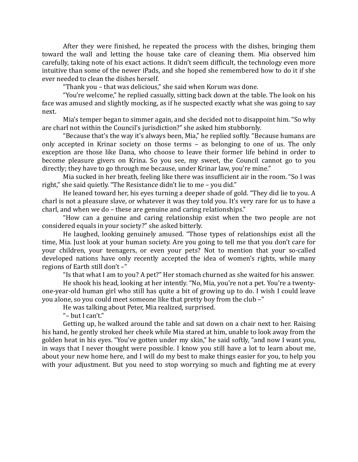After they were finished, he repeated the process with the dishes, bringing them toward the wall and letting the house take care of cleaning them. Mia observed him carefully, taking note of his exact actions. It didn't seem difficult, the technology even more intuitive than some of the newer iPads, and she hoped she remembered how to do it if she ever needed to clean the dishes herself.

"Thank you - that was delicious," she said when Korum was done.

"You're welcome," he replied casually, sitting back down at the table. The look on his face was amused and slightly mocking, as if he suspected exactly what she was going to say next.

Mia's temper began to simmer again, and she decided not to disappoint him. "So why are charl not within the Council's jurisdiction?" she asked him stubbornly.

"Because that's the way it's always been, Mia," he replied softly. "Because humans are only accepted in Krinar society on those terms - as belonging to one of us. The only exception are those like Dana, who choose to leave their former life behind in order to become pleasure givers on Krina. So you see, my sweet, the Council cannot go to you directly; they have to go through me because, under Krinar law, you're mine."

Mia sucked in her breath, feeling like there was insufficient air in the room. "So I was right," she said quietly. "The Resistance didn't lie to me - you did."

He leaned toward her, his eyes turning a deeper shade of gold. "They did lie to you. A charl is not a pleasure slave, or whatever it was they told you. It's very rare for us to have a charl, and when we do  $-$  these are genuine and caring relationships."

"How can a genuine and caring relationship exist when the two people are not considered equals in your society?" she asked bitterly.

He laughed, looking genuinely amused. "Those types of relationships exist all the time, Mia. Just look at your human society. Are you going to tell me that you don't care for your children, your teenagers, or even your pets? Not to mention that your so-called developed nations have only recently accepted the idea of women's rights, while many regions of Earth still don't -"

"Is that what I am to you? A pet?" Her stomach churned as she waited for his answer.

He shook his head, looking at her intently. "No, Mia, you're not a pet. You're a twentyone-year-old human girl who still has quite a bit of growing up to do. I wish I could leave you alone, so you could meet someone like that pretty boy from the club -"

He was talking about Peter, Mia realized, surprised.

"- but I can't."

Getting up, he walked around the table and sat down on a chair next to her. Raising his hand, he gently stroked her cheek while Mia stared at him, unable to look away from the golden heat in his eyes. "You've gotten under my skin," he said softly, "and now I want you, in ways that I never thought were possible. I know you still have a lot to learn about me, about your new home here, and I will do my best to make things easier for you, to help you with your adjustment. But you need to stop worrying so much and fighting me at every